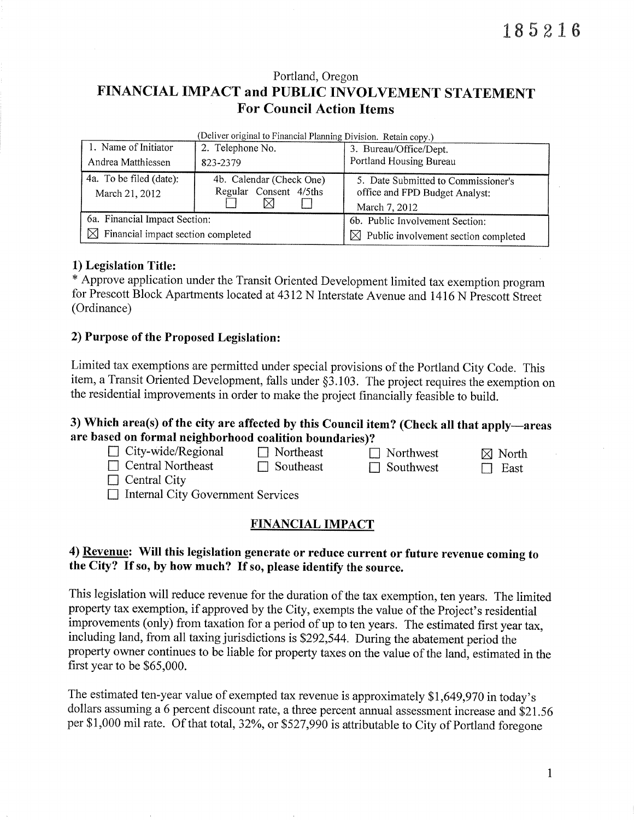# Portland, Oregon FINANCIAL IMPACT and PUBLIC INVOLVEMENT STATEMENT For Council Action Items

|                                                | s en let onginal to a maneral i lammig Division. Totalli Copy, p |                                                                                        |  |  |  |  |
|------------------------------------------------|------------------------------------------------------------------|----------------------------------------------------------------------------------------|--|--|--|--|
| 1. Name of Initiator                           | 2. Telephone No.                                                 | 3. Bureau/Office/Dept.                                                                 |  |  |  |  |
| Andrea Matthiessen                             | 823-2379                                                         | Portland Housing Bureau                                                                |  |  |  |  |
| 4a. To be filed (date):<br>March 21, 2012      | 4b. Calendar (Check One)<br>Regular Consent 4/5ths               | 5. Date Submitted to Commissioner's<br>office and FPD Budget Analyst:<br>March 7, 2012 |  |  |  |  |
| 6a. Financial Impact Section:                  |                                                                  | 6b. Public Involvement Section:                                                        |  |  |  |  |
| $\boxtimes$ Financial impact section completed |                                                                  | $\boxtimes$ Public involvement section completed                                       |  |  |  |  |

 $(Deliver original to Financial Planning Division. Betaing  $(a, b)$$ 

1) Legislation Title:<br>\* Approve application under the Transit Oriented Development limited tax exemption program for Prescott Block Apartments located at 4312 N Interstate Avenue and i416 N Prescott Sireet (Ordinance)

#### 2) Purpose of the Proposed Legislation:

Limited tax exemptions are permitted under special provisions of the Portland City Code. This item, a Transit Oriented Development, falls under \$3.103. The project requires the exemption on the residential improvements in order to make the project financially feasible to build.

## 3) Which area(s) of the city are affected by this Council item? (Check all that apply-areas are based on formal neighborhood coalition boundaries)?

| $\Box$ City-wide/Regional                | $\Box$ Northeast | $\Box$ Northwest | $\boxtimes$ North |
|------------------------------------------|------------------|------------------|-------------------|
| $\Box$ Central Northeast                 | $\Box$ Southeast | $\Box$ Southwest | $\Box$ East       |
| $\Box$ Central City                      |                  |                  |                   |
| $\Box$ Internal City Government Services |                  |                  |                   |

### FINANCIAL IMPACT

## 4) Revenue: Will this legislation generate or reduce current or future revenue coming to the City? If so, by how much? If so, please identify the source.

This legislation will reduce revenue for the duration of the tax exemption, ten years. The limited property tax exemption, if approved by the City, exempts the value of the Project's residential improvements (only) from taxation for a period of up to ten years. The estimated first year tax, including land, from all taxing jurisdictions is 5292,544. During the abatement period the property owner continues to be liable for property taxes on the value of the land, estimated in the first year to be \$65,000.

The estimated ten-year value of exempted tax revenue is approximately 51,649,970 in today's dollars assuming a 6 percent discount rate, a three percent annual assessment increase and \$21.56 per \$1,000 mil rate. Of that total, 32%, or \$527,990 is attributable to City of Portland foregone

 $\mathbf{1}$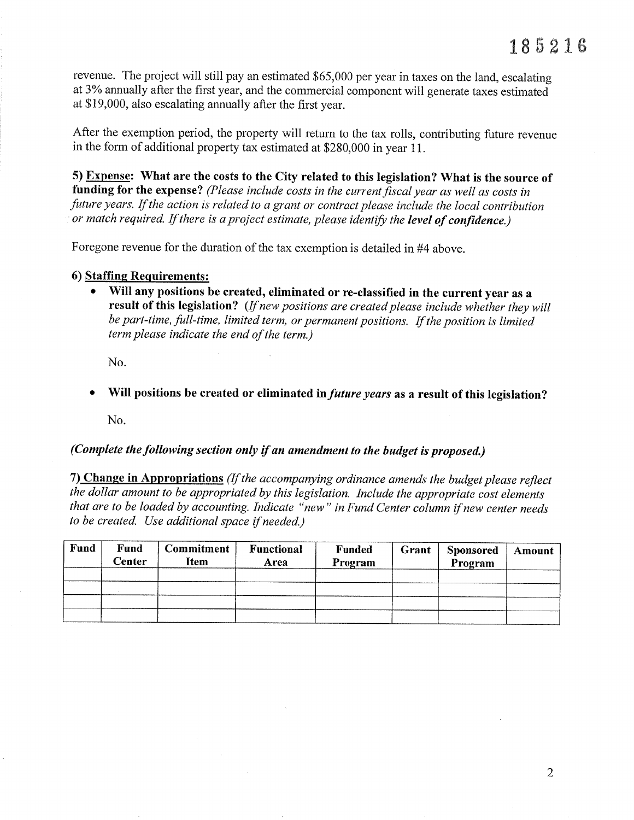revenue. The project will still pay an estimated \$65,000 per year in taxes on the land, escalating at 3% annually after the first year, and the commercial component will generate taxes estimated at \$ 19,000, also escalating annually after the first year.

After the exemption period, the property will return to the tax rolls, contributing future revenue in the form of additional property tax estimated at \$280,000 in year 11.

5) Expense: What are the costs to the City related to this legislation? What is the source of funding for the expense? (Please include costs in the current fiscal year as well as costs in future years. If the action is related to a grant or contract please include the local contribution or match required. If there is a project estimate, please identify the level of confidence.)

Foregone revenue for the duration of the tax exemption is detailed in #4 above.

#### 6) Staffing Requirements:

Will any positions be created, eliminated or re-classified in the current year as a result of this legislation? (If new positions are created please include whether they will be part-time, full-time, limited term, or permanent positions. If the position is limited term please indicate the end of the term.)

No.

Will positions be created or eliminated in *future years* as a result of this legislation?

No.

## (Complete the following section only if an amendment to the budget is proposed.)

7) Change in Appropriations (If the accompanying ordinance amends the budget please reflect the dollar amount to be appropriated by this legislation. Include the appropriate cost elements that are to be loaded by accounting. Indicate "new" in Fund Center column if new center needs to be created. Use additíonal space if needed.)

| <b>Fund</b> | Fund<br>Center | <b>Commitment</b><br><b>Item</b> | <b>Functional</b><br>Area | Funded<br>Program | Grant | <b>Sponsored</b><br>Program | Amount |
|-------------|----------------|----------------------------------|---------------------------|-------------------|-------|-----------------------------|--------|
|             |                |                                  |                           |                   |       |                             |        |
|             |                |                                  |                           |                   |       |                             |        |
|             |                |                                  |                           |                   |       |                             |        |
|             |                |                                  |                           |                   |       |                             |        |